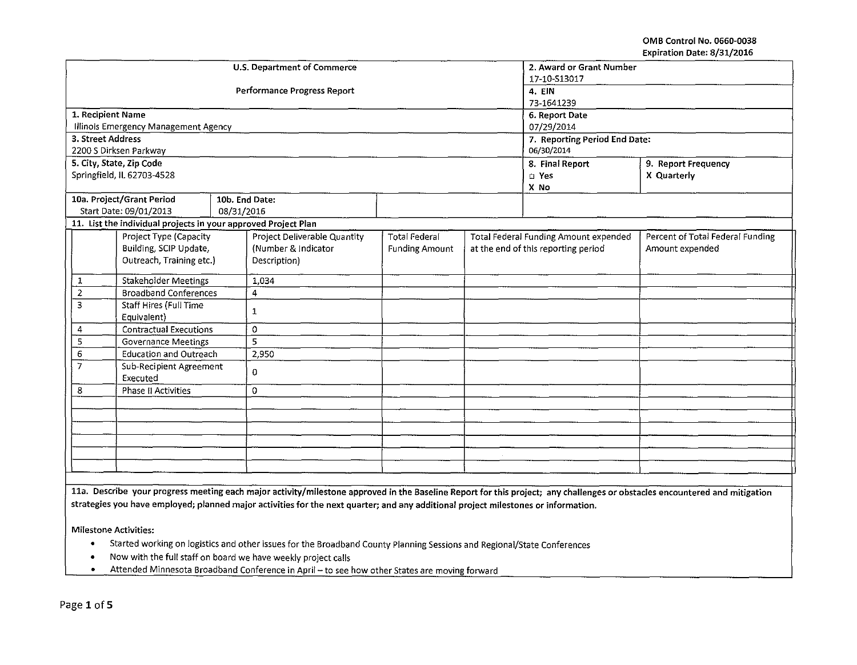OMB Control No. 0660·0038 Expiration Date: 8/31/2016

|                                    |                                                                |              | <b>U.S. Department of Commerce</b>  | 2. Award or Grant Number      |                                       |                                     |                                  |  |
|------------------------------------|----------------------------------------------------------------|--------------|-------------------------------------|-------------------------------|---------------------------------------|-------------------------------------|----------------------------------|--|
|                                    |                                                                |              |                                     | 17-10-513017                  |                                       |                                     |                                  |  |
|                                    |                                                                |              | <b>Performance Progress Report</b>  | 4. EIN                        |                                       |                                     |                                  |  |
|                                    |                                                                |              |                                     | 73-1641239                    |                                       |                                     |                                  |  |
| 1. Recipient Name                  |                                                                |              |                                     | 6. Report Date                |                                       |                                     |                                  |  |
|                                    | Illinois Emergency Management Agency                           |              |                                     | 07/29/2014                    |                                       |                                     |                                  |  |
| 3. Street Address                  |                                                                |              |                                     | 7. Reporting Period End Date: |                                       |                                     |                                  |  |
|                                    | 2200 S Dirksen Parkway                                         |              |                                     | 06/30/2014                    |                                       |                                     |                                  |  |
|                                    | 5. City, State, Zip Code                                       |              |                                     |                               | 8. Final Report                       | 9. Report Frequency                 |                                  |  |
|                                    | Springfield, IL 62703-4528                                     |              |                                     |                               | $\square$ Yes                         | X Quarterly                         |                                  |  |
|                                    |                                                                |              |                                     |                               | X No                                  |                                     |                                  |  |
|                                    | 10a. Project/Grant Period                                      |              | 10b. End Date:                      |                               |                                       |                                     |                                  |  |
|                                    | Start Date: 09/01/2013                                         | 08/31/2016   |                                     |                               |                                       |                                     |                                  |  |
|                                    | 11. List the individual projects in your approved Project Plan |              |                                     |                               |                                       |                                     |                                  |  |
|                                    | Project Type (Capacity                                         |              | <b>Project Deliverable Quantity</b> | <b>Total Federal</b>          | Total Federal Funding Amount expended |                                     | Percent of Total Federal Funding |  |
|                                    | Building, SCIP Update,                                         |              | (Number & Indicator                 | <b>Funding Amount</b>         |                                       | at the end of this reporting period | Amount expended                  |  |
| Outreach, Training etc.)           |                                                                |              | Description)                        |                               |                                       |                                     |                                  |  |
| $\mathbf{1}$                       | <b>Stakeholder Meetings</b>                                    |              | 1,034                               |                               |                                       |                                     |                                  |  |
| $\overline{2}$                     | <b>Broadband Conferences</b>                                   |              | $\overline{4}$                      |                               |                                       |                                     |                                  |  |
| 3<br><b>Staff Hires (Full Time</b> |                                                                | $\mathbf{1}$ |                                     |                               |                                       |                                     |                                  |  |
|                                    | Equivalent)                                                    |              |                                     |                               |                                       |                                     |                                  |  |
| 4                                  | <b>Contractual Executions</b>                                  |              | $\circ$                             |                               |                                       |                                     |                                  |  |
| 5                                  | <b>Governance Meetings</b>                                     |              | 5                                   |                               |                                       |                                     |                                  |  |
| 6                                  | <b>Education and Outreach</b>                                  |              | 2,950                               |                               |                                       |                                     |                                  |  |
| $\overline{7}$                     | Sub-Recipient Agreement                                        |              | $\overline{0}$                      |                               |                                       |                                     |                                  |  |
|                                    | Executed                                                       |              |                                     |                               |                                       |                                     |                                  |  |
| 8                                  | <b>Phase II Activities</b>                                     |              | 0                                   |                               |                                       |                                     |                                  |  |
|                                    |                                                                |              |                                     |                               |                                       |                                     |                                  |  |
|                                    |                                                                |              |                                     |                               |                                       |                                     |                                  |  |
|                                    |                                                                |              |                                     |                               |                                       |                                     |                                  |  |
|                                    |                                                                |              |                                     |                               |                                       |                                     |                                  |  |
|                                    |                                                                |              |                                     |                               |                                       |                                     |                                  |  |
|                                    |                                                                |              |                                     |                               |                                       |                                     |                                  |  |
|                                    |                                                                |              |                                     |                               |                                       |                                     |                                  |  |

11a. Describe your progress meeting each major activity/milestone approved in the Baseline Report for this project; any challenges or obstacles encountered and mitigation strategies you have employed; planned major activities for the next quarter; and any additional project milestones or information.

Milestone Activities:

- Started working on logistics and other issues for the Broadband County Planning Sessions and Regional/State Conferences
- Now with the full staff on board we have weekly project calls
- Littended Minnesota Broadband Conference in April to see how other States are moving forward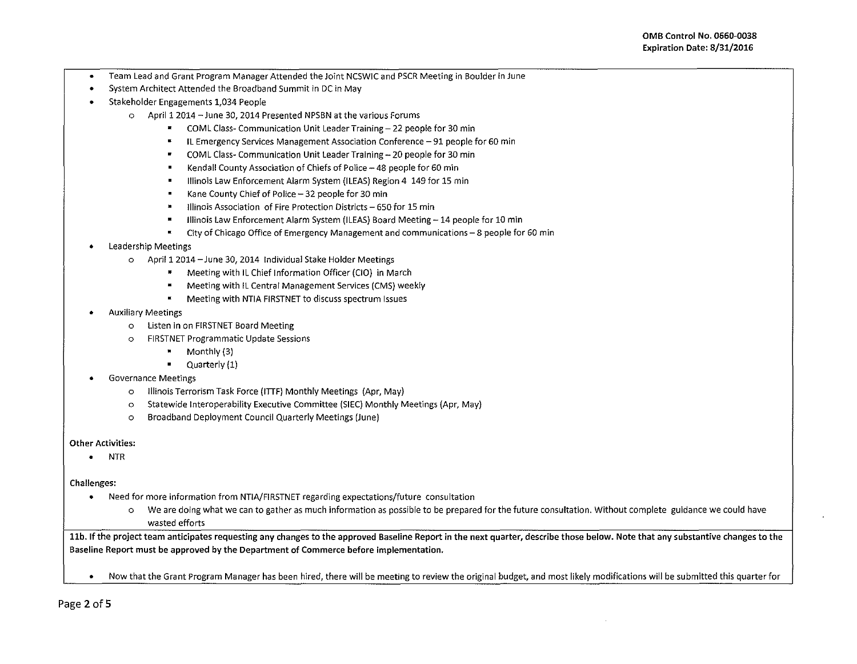- Team Lead and Grant Program Manager Attended the Joint NCSWIC and PSCR Meeting in Boulder in June
- System Architect Attended the Broadband Summit in DC in May
- Stakeholder Engagements 1,034 People
	- o April12014 -June 30, 2014 Presented NPSBN at the various Forums
		- $\mathbf{z}$ COML Class~ Communication Unit Leader Training- 22 people for 30 min
		- IL Emergency Services Management Association Conference- 91 people for 60 min
		- $\bullet$ COML Class~ Communication Unit Leader Training- 20 people for 30 min
		- Kendall County Association of Chiefs of Police 48 people for 60 min
		- Illinois Law Enforcement Alarm System (ILEAS) Region 4 149 for 15 min  $\blacksquare$
		- Kane County Chief of Police- 32 people for 30 min
		- Illinois Association of Fire Protection Districts- 650 for 15 min
		- $\blacksquare$ Illinois Law Enforcement Alarm System (ILEAS) Board Meeting - 14 people for 10 min
		- $\blacksquare$ City of Chicago Office of Emergency Management and communications- 8 people for 60 min
- Leadership Meetings
	- o Aprii12014-June 30,2014 Individual Stake Holder Meetings
		- Meeting with IL Chief Information Officer (CIO) in March
		- $\blacksquare$ Meeting with IL Central Management Services (CMS) weekly
		- Meeting with NTIA FIRSTNET to discuss spectrum Issues
- Auxiliary Meetings
	- o Listen in on FIRSTNET Board Meeting
	- o FIRSTNET Programmatic Update Sessions
		- Monthly (3)
		- $\blacksquare$  Quarterly  $(1)$
- Governance Meetings
	- o Illinois Terrorism Task Force (ITIF) Monthly Meetings (Apr, May}
	- o Statewide lnteroperability Executive Committee (SIEC) Monthly Meetings (Apr, May)
	- o Broadband Deployment Council Quarterly Meetings (June)

## Other Activities:

• NTR

## Challenges:

- Need for more information from NTIA/FIRSTNET regarding expectations/future consultation
	- o We are doing what we can to gather as much information as possible to be prepared for the future consultation. Without complete guidance we could have wasted efforts

11b. If the project team anticipates requesting any changes to the approved Baseline Report in the next quarter, describe those below. Note that any substantive changes to the Baseline Report must be approved by the Department of Commerce before implementation.

• Now that the Grant Program Manager has been hired, there will be meeting to review the original budget, and most likely modifications will be submitted this quarter for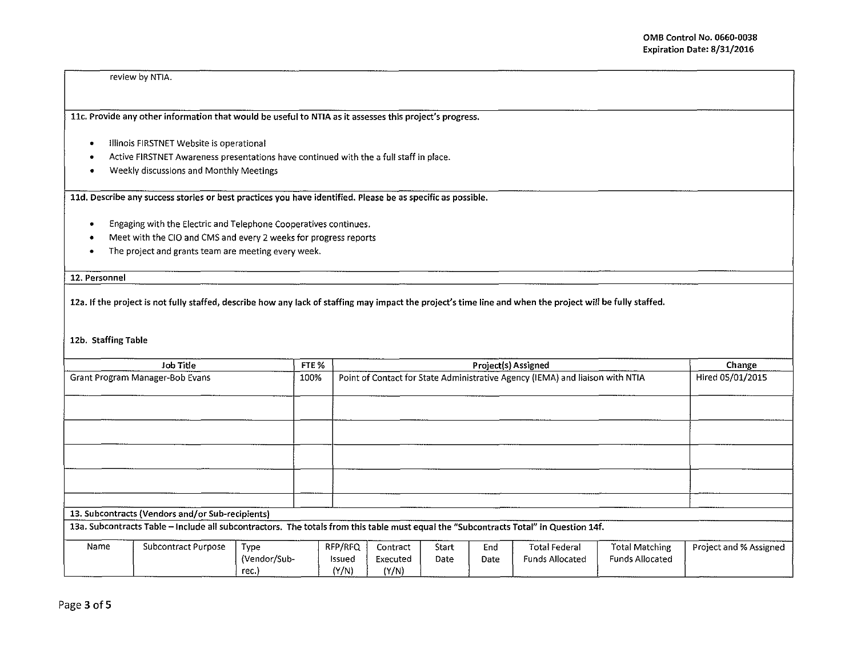review by NTJA.

llc. Provide any other information that would be useful to NTIA as it assesses this project's progress.

- Illinois FIRSTNET Website is operational
- Active FIRSTNET Awareness presentations have continued with the a full staff in place .
- Weekly discussions and Monthly Meetings

lld. Describe any success stories or best practices you have identified. Please be as specific as possible.

- Engaging with the Electric and Telephone Cooperatives continues .
- Meet with the CIO and CMS and every 2 weeks for progress reports
- The project and grants team are meeting every week .

12. Personnel

12a. If the project is not fully staffed, describe how any lack of staffing may impact the project's time line and when the project will be fully staffed.

12b. Staffing Table

| Job Title                       |                                                                                                                                       |                                      | FTE %                      |                                                                               | Change           |             |                                                |                                                 |                        |
|---------------------------------|---------------------------------------------------------------------------------------------------------------------------------------|--------------------------------------|----------------------------|-------------------------------------------------------------------------------|------------------|-------------|------------------------------------------------|-------------------------------------------------|------------------------|
| Grant Program Manager-Bob Evans |                                                                                                                                       |                                      | 100%                       | Point of Contact for State Administrative Agency (IEMA) and liaison with NTIA | Hired 05/01/2015 |             |                                                |                                                 |                        |
|                                 |                                                                                                                                       |                                      |                            |                                                                               |                  |             |                                                |                                                 |                        |
|                                 |                                                                                                                                       |                                      |                            |                                                                               |                  |             |                                                |                                                 |                        |
|                                 |                                                                                                                                       |                                      |                            |                                                                               |                  |             |                                                |                                                 |                        |
|                                 |                                                                                                                                       |                                      |                            |                                                                               |                  |             |                                                |                                                 |                        |
|                                 |                                                                                                                                       |                                      |                            |                                                                               |                  |             |                                                |                                                 |                        |
|                                 | 13. Subcontracts (Vendors and/or Sub-recipients)                                                                                      |                                      |                            |                                                                               |                  |             |                                                |                                                 |                        |
|                                 | 13a. Subcontracts Table - Include all subcontractors. The totals from this table must equal the "Subcontracts Total" in Question 14f. |                                      |                            |                                                                               |                  |             |                                                |                                                 |                        |
| Name                            | Subcontract Purpose                                                                                                                   | <b>Type</b><br>(Vendor/Sub-<br>rec.) | RFP/RFQ<br>Issued<br>(Y/N) | Contract<br>Executed<br>(Y/N)                                                 | Start<br>Date    | End<br>Date | <b>Total Federal</b><br><b>Funds Allocated</b> | <b>Total Matching</b><br><b>Funds Allocated</b> | Project and % Assigned |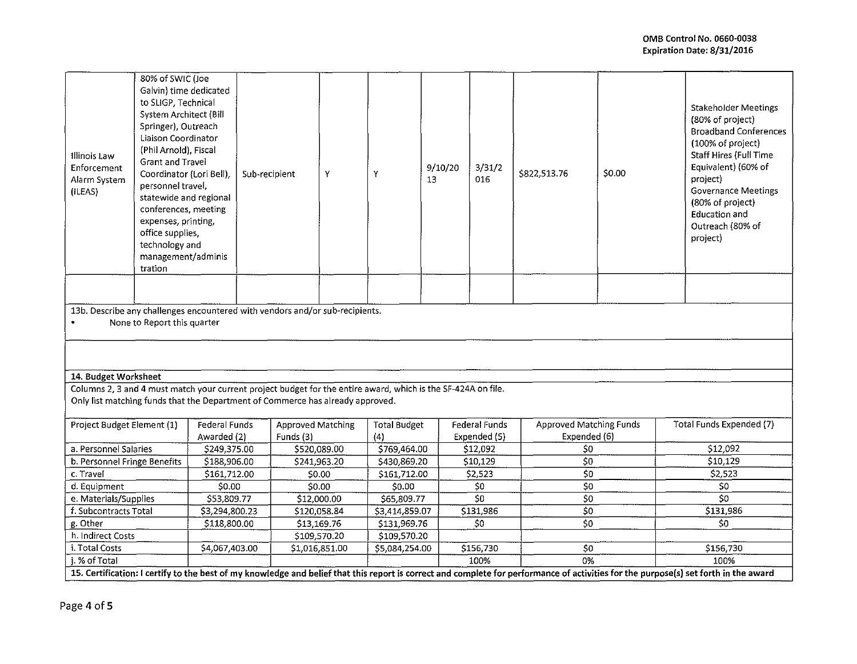| Illinois Law<br>Enforcement<br>Alarm System<br>(ILEAS)                                                                                                                               | 80% of SWIC (Joe<br>Galvin) time dedicated<br>to SLIGP, Technical<br>System Architect (Bill<br>Springer), Outreach<br>Liaison Coordinator<br>(Phil Arnold), Fiscal<br><b>Grant and Travel</b><br>Coordinator (Lori Bell),<br>personnel travel,<br>statewide and regional<br>conferences, meeting<br>expenses, printing,<br>office supplies,<br>technology and<br>management/adminis<br>tration |                | Sub-recipient  |                          | Y              | Y                   | 9/10/20<br>13  | 3/31/2<br>016 | \$822,513.76                        | \$0.00 |                          | (80% of project)<br>(100% of project)<br>project)<br>(80% of project)<br>Education and<br>Outreach (80% of<br>project) | Stakeholder Meetings<br><b>Broadband Conferences</b><br>Staff Hires (Full Time<br>Equivalent) (60% of<br><b>Governance Meetings</b> |
|--------------------------------------------------------------------------------------------------------------------------------------------------------------------------------------|------------------------------------------------------------------------------------------------------------------------------------------------------------------------------------------------------------------------------------------------------------------------------------------------------------------------------------------------------------------------------------------------|----------------|----------------|--------------------------|----------------|---------------------|----------------|---------------|-------------------------------------|--------|--------------------------|------------------------------------------------------------------------------------------------------------------------|-------------------------------------------------------------------------------------------------------------------------------------|
|                                                                                                                                                                                      |                                                                                                                                                                                                                                                                                                                                                                                                |                |                |                          |                |                     |                |               |                                     |        |                          |                                                                                                                        |                                                                                                                                     |
|                                                                                                                                                                                      | 13b. Describe any challenges encountered with vendors and/or sub-recipients.                                                                                                                                                                                                                                                                                                                   |                |                |                          |                |                     |                |               |                                     |        |                          |                                                                                                                        |                                                                                                                                     |
| $\bullet$                                                                                                                                                                            | None to Report this quarter                                                                                                                                                                                                                                                                                                                                                                    |                |                |                          |                |                     |                |               |                                     |        |                          |                                                                                                                        |                                                                                                                                     |
|                                                                                                                                                                                      |                                                                                                                                                                                                                                                                                                                                                                                                |                |                |                          |                |                     |                |               |                                     |        |                          |                                                                                                                        |                                                                                                                                     |
|                                                                                                                                                                                      |                                                                                                                                                                                                                                                                                                                                                                                                |                |                |                          |                |                     |                |               |                                     |        |                          |                                                                                                                        |                                                                                                                                     |
| 14. Budget Worksheet                                                                                                                                                                 |                                                                                                                                                                                                                                                                                                                                                                                                |                |                |                          |                |                     |                |               |                                     |        |                          |                                                                                                                        |                                                                                                                                     |
|                                                                                                                                                                                      | Columns 2, 3 and 4 must match your current project budget for the entire award, which is the SF-424A on file.<br>Only list matching funds that the Department of Commerce has already approved.                                                                                                                                                                                                |                |                |                          |                |                     |                |               |                                     |        |                          |                                                                                                                        |                                                                                                                                     |
|                                                                                                                                                                                      |                                                                                                                                                                                                                                                                                                                                                                                                |                |                |                          |                |                     |                |               |                                     |        |                          |                                                                                                                        |                                                                                                                                     |
| Project Budget Element (1)                                                                                                                                                           |                                                                                                                                                                                                                                                                                                                                                                                                | Federal Funds  |                | <b>Approved Matching</b> |                | <b>Total Budget</b> |                | Federal Funds | <b>Approved Matching Funds</b>      |        | Total Funds Expended (7) |                                                                                                                        |                                                                                                                                     |
|                                                                                                                                                                                      |                                                                                                                                                                                                                                                                                                                                                                                                | Awarded (2)    |                | Funds (3)                |                | (4)                 |                | Expended (5)  | Expended (6)                        |        |                          |                                                                                                                        |                                                                                                                                     |
| a. Personnel Salaries                                                                                                                                                                |                                                                                                                                                                                                                                                                                                                                                                                                | \$249,375.00   |                | \$520,089.00             |                | \$769,464.00        |                | \$12,092      | \$0                                 |        | \$12,092                 |                                                                                                                        |                                                                                                                                     |
| b. Personnel Fringe Benefits                                                                                                                                                         |                                                                                                                                                                                                                                                                                                                                                                                                |                | \$188,906.00   |                          | \$241,963.20   | \$430,869.20        |                | \$10,129      |                                     | 50     |                          | \$10,129                                                                                                               |                                                                                                                                     |
| c. Travel                                                                                                                                                                            |                                                                                                                                                                                                                                                                                                                                                                                                | \$161,712.00   |                | \$0.00                   |                | 5161,712.00         |                | S2.523        | $\overline{\overline{\mathbf{50}}}$ |        | \$2,523                  |                                                                                                                        |                                                                                                                                     |
| d. Equipment                                                                                                                                                                         |                                                                                                                                                                                                                                                                                                                                                                                                | \$0.00         |                | \$0.00                   |                | \$0.00              |                | 50            | $\overline{50}$                     |        | \$0                      |                                                                                                                        |                                                                                                                                     |
| e. Materials/Supplies                                                                                                                                                                |                                                                                                                                                                                                                                                                                                                                                                                                | \$53,809.77    |                | \$12,000.00              |                | \$65,809.77         |                | SO            | $\overline{50}$                     |        | 50                       |                                                                                                                        |                                                                                                                                     |
| f. Subcontracts Total                                                                                                                                                                |                                                                                                                                                                                                                                                                                                                                                                                                | \$3,294,800.23 |                | \$120,058.84             |                | \$3,414,859.07      |                | \$131,986     | 50                                  |        | \$131,986                |                                                                                                                        |                                                                                                                                     |
| g. Other                                                                                                                                                                             |                                                                                                                                                                                                                                                                                                                                                                                                |                | \$118,800.00   |                          | \$13,169.76    |                     | \$131,969.76   | 50            | ${\sf S0}$                          |        | S <sub>0</sub>           |                                                                                                                        |                                                                                                                                     |
| h. Indirect Costs<br>\$109,570.20<br>\$109,570.20                                                                                                                                    |                                                                                                                                                                                                                                                                                                                                                                                                |                |                |                          |                |                     |                |               |                                     |        |                          |                                                                                                                        |                                                                                                                                     |
| i. Total Costs                                                                                                                                                                       |                                                                                                                                                                                                                                                                                                                                                                                                |                | \$4,067,403.00 |                          | \$1,016,851.00 |                     | \$5,084,254.00 | \$156,730     | 50                                  |        | \$156,730                |                                                                                                                        |                                                                                                                                     |
| i. % of Total                                                                                                                                                                        |                                                                                                                                                                                                                                                                                                                                                                                                |                |                |                          |                |                     |                | 100%          | 0%                                  |        |                          | 100%                                                                                                                   |                                                                                                                                     |
| 15. Certification: I certify to the best of my knowledge and belief that this report is correct and complete for performance of activities for the purpose(s) set forth in the award |                                                                                                                                                                                                                                                                                                                                                                                                |                |                |                          |                |                     |                |               |                                     |        |                          |                                                                                                                        |                                                                                                                                     |